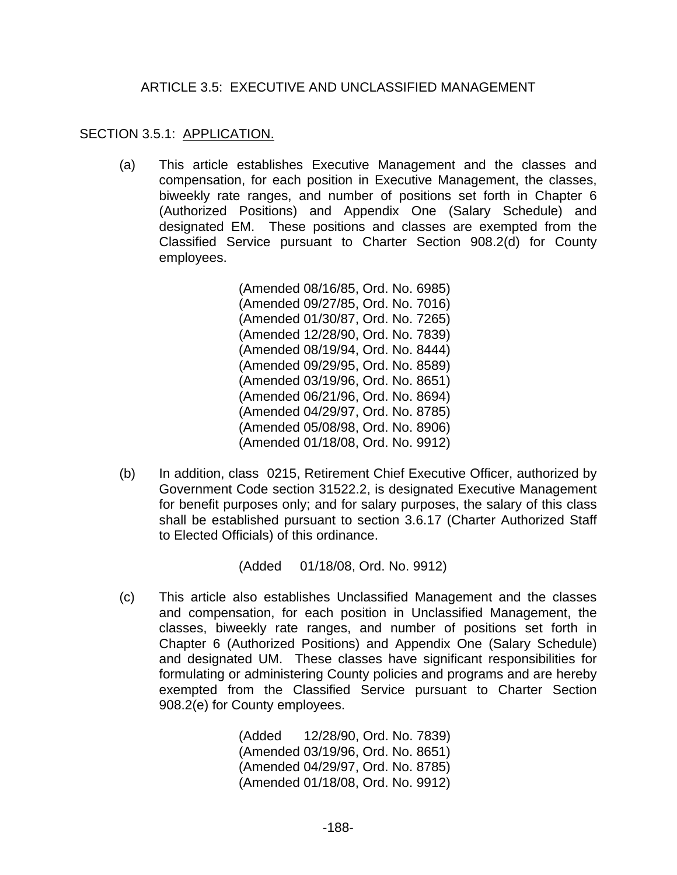## ARTICLE 3.5: EXECUTIVE AND UNCLASSIFIED MANAGEMENT

## SECTION 3.5.1: APPLICATION.

(a) This article establishes Executive Management and the classes and compensation, for each position in Executive Management, the classes, biweekly rate ranges, and number of positions set forth in Chapter 6 (Authorized Positions) and Appendix One (Salary Schedule) and designated EM. These positions and classes are exempted from the Classified Service pursuant to Charter Section 908.2(d) for County employees.

> (Amended 08/16/85, Ord. No. 6985) (Amended 09/27/85, Ord. No. 7016) (Amended 01/30/87, Ord. No. 7265) (Amended 12/28/90, Ord. No. 7839) (Amended 08/19/94, Ord. No. 8444) (Amended 09/29/95, Ord. No. 8589) (Amended 03/19/96, Ord. No. 8651) (Amended 06/21/96, Ord. No. 8694) (Amended 04/29/97, Ord. No. 8785) (Amended 05/08/98, Ord. No. 8906) (Amended 01/18/08, Ord. No. 9912)

(b) In addition, class 0215, Retirement Chief Executive Officer, authorized by Government Code section 31522.2, is designated Executive Management for benefit purposes only; and for salary purposes, the salary of this class shall be established pursuant to section 3.6.17 (Charter Authorized Staff to Elected Officials) of this ordinance.

(Added 01/18/08, Ord. No. 9912)

(c) This article also establishes Unclassified Management and the classes and compensation, for each position in Unclassified Management, the classes, biweekly rate ranges, and number of positions set forth in Chapter 6 (Authorized Positions) and Appendix One (Salary Schedule) and designated UM. These classes have significant responsibilities for formulating or administering County policies and programs and are hereby exempted from the Classified Service pursuant to Charter Section 908.2(e) for County employees.

> (Added 12/28/90, Ord. No. 7839) (Amended 03/19/96, Ord. No. 8651) (Amended 04/29/97, Ord. No. 8785) (Amended 01/18/08, Ord. No. 9912)